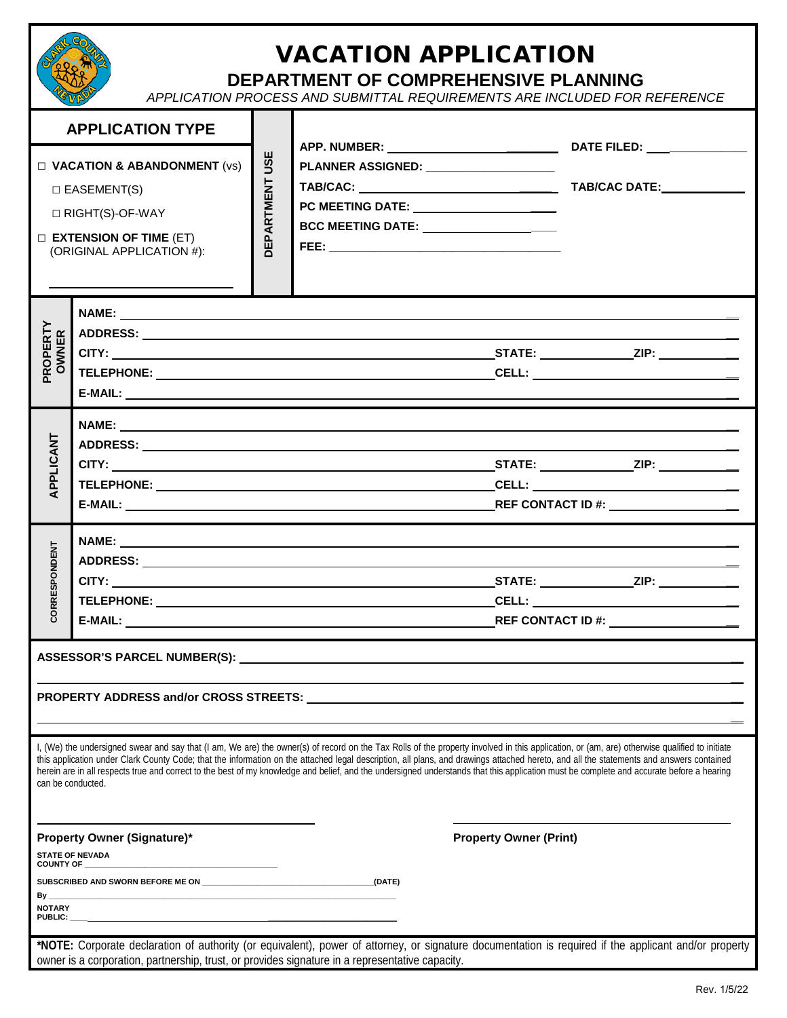

## VACATION APPLICATION

## **DEPARTMENT OF COMPREHENSIVE PLANNING**

*APPLICATION PROCESS AND SUBMITTAL REQUIREMENTS ARE INCLUDED FOR REFERENCE* 

| <b>APPLICATION TYPE</b>                                                                                                                        |                                                                                                                                                                                                                                                                                                                                                                                                                                                                                                                                                                                     |                          |                                                                                                                                                                          |                               | DATE FILED: ________________                                                                                                                          |  |  |
|------------------------------------------------------------------------------------------------------------------------------------------------|-------------------------------------------------------------------------------------------------------------------------------------------------------------------------------------------------------------------------------------------------------------------------------------------------------------------------------------------------------------------------------------------------------------------------------------------------------------------------------------------------------------------------------------------------------------------------------------|--------------------------|--------------------------------------------------------------------------------------------------------------------------------------------------------------------------|-------------------------------|-------------------------------------------------------------------------------------------------------------------------------------------------------|--|--|
| $\Box$ VACATION & ABANDONMENT (vs)<br>$\square$ EASEMENT(S)<br>□ RIGHT(S)-OF-WAY<br>$\Box$ EXTENSION OF TIME (ET)<br>(ORIGINAL APPLICATION #): |                                                                                                                                                                                                                                                                                                                                                                                                                                                                                                                                                                                     | USE<br><b>DEPARTMENT</b> | APP. NUMBER: _____________________________<br>PLANNER ASSIGNED: __________________<br>PC MEETING DATE: _____________________<br>BCC MEETING DATE: ______________________ |                               |                                                                                                                                                       |  |  |
| PROPERTY<br><b>OWNER</b>                                                                                                                       |                                                                                                                                                                                                                                                                                                                                                                                                                                                                                                                                                                                     |                          | ,我们也不会有什么。""我们的人,我们也不会有什么?""我们的人,我们也不会有什么?""我们的人,我们也不会有什么?""我们的人,我们也不会有什么?""我们的人                                                                                         |                               |                                                                                                                                                       |  |  |
| PPLICANT                                                                                                                                       |                                                                                                                                                                                                                                                                                                                                                                                                                                                                                                                                                                                     |                          |                                                                                                                                                                          |                               |                                                                                                                                                       |  |  |
| <b>CORRESPONDENT</b>                                                                                                                           |                                                                                                                                                                                                                                                                                                                                                                                                                                                                                                                                                                                     |                          |                                                                                                                                                                          |                               |                                                                                                                                                       |  |  |
|                                                                                                                                                | PROPERTY ADDRESS and/or CROSS STREETS:                                                                                                                                                                                                                                                                                                                                                                                                                                                                                                                                              |                          |                                                                                                                                                                          |                               |                                                                                                                                                       |  |  |
| can be conducted.                                                                                                                              | I, (We) the undersigned swear and say that (I am, We are) the owner(s) of record on the Tax Rolls of the property involved in this application, or (am, are) otherwise qualified to initiate<br>this application under Clark County Code; that the information on the attached legal description, all plans, and drawings attached hereto, and all the statements and answers contained<br>herein are in all respects true and correct to the best of my knowledge and belief, and the undersigned understands that this application must be complete and accurate before a hearing |                          |                                                                                                                                                                          |                               |                                                                                                                                                       |  |  |
| $By$ <sub>---</sub><br><b>NOTARY</b><br><b>PUBLIC:</b>                                                                                         | <b>Property Owner (Signature)*</b><br><b>STATE OF NEVADA</b><br>SUBSCRIBED AND SWORN BEFORE ME ON                                                                                                                                                                                                                                                                                                                                                                                                                                                                                   |                          | (DATE)                                                                                                                                                                   | <b>Property Owner (Print)</b> |                                                                                                                                                       |  |  |
|                                                                                                                                                | owner is a corporation, partnership, trust, or provides signature in a representative capacity.                                                                                                                                                                                                                                                                                                                                                                                                                                                                                     |                          |                                                                                                                                                                          |                               | *NOTE: Corporate declaration of authority (or equivalent), power of attorney, or signature documentation is required if the applicant and/or property |  |  |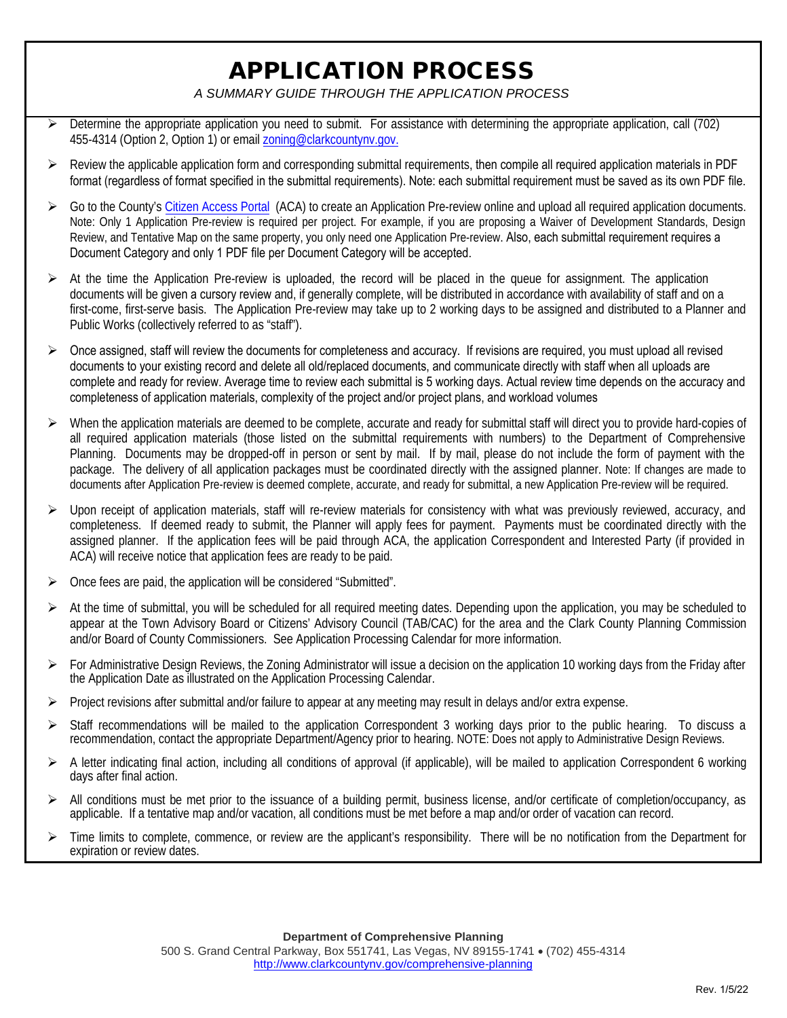## APPLICATION PROCESS

*A SUMMARY GUIDE THROUGH THE APPLICATION PROCESS* 

- $\triangleright$  Determine the appropriate application you need to submit. For assistance with determining the appropriate application, call (702) 455-4314 (Option 2, Option 1) or email zoning@clarkcountynv.gov.
- $\triangleright$  Review the applicable application [form and corresponding sub](mailto:zoning@clarkcountynv.gov)mittal requirements, then compile all required application materials in PDF format (regardless of format specified in the submittal requirements). Note: each submittal requirement must be saved as its own PDF file.
- Go to the County's [Citizen Access Portal](https://citizenaccess.clarkcountynv.gov/CitizenAccess/Default.aspx) (ACA) to create an Application Pre-review online and upload all required application documents. Note: Only 1 Application Pre-review is required per project. For example, if you are proposing a Waiver of Development Standards, Design Review, and Tentative Map on the same property, you only need one Application Pre-review. Also, each submittal requirement requires a Document Category and only 1 PDF file per Document Category will be accepted.
- $\triangleright$  At the time the Application Pre-review is uploaded, the record will be placed in the queue for assignment. The application documents will be given a cursory review and, if generally complete, will be distributed in accordance with availability of staff and on a first-come, first-serve basis. The Application Pre-review may take up to 2 working days to be assigned and distributed to a Planner and Public Works (collectively referred to as "staff").
- $\triangleright$  Once assigned, staff will review the documents for completeness and accuracy. If revisions are required, you must upload all revised documents to your existing record and delete all old/replaced documents, and communicate directly with staff when all uploads are complete and ready for review. Average time to review each submittal is 5 working days. Actual review time depends on the accuracy and completeness of application materials, complexity of the project and/or project plans, and workload volumes
- $\triangleright$  When the application materials are deemed to be complete, accurate and ready for submittal staff will direct you to provide hard-copies of all required application materials (those listed on the submittal requirements with numbers) to the Department of Comprehensive Planning. Documents may be dropped-off in person or sent by mail. If by mail, please do not include the form of payment with the package. The delivery of all application packages must be coordinated directly with the assigned planner. Note: If changes are made to documents after Application Pre-review is deemed complete, accurate, and ready for submittal, a new Application Pre-review will be required.
- $\triangleright$  Upon receipt of application materials, staff will re-review materials for consistency with what was previously reviewed, accuracy, and completeness. If deemed ready to submit, the Planner will apply fees for payment. Payments must be coordinated directly with the assigned planner. If the application fees will be paid through ACA, the application Correspondent and Interested Party (if provided in ACA) will receive notice that application fees are ready to be paid.
- $\triangleright$  Once fees are paid, the application will be considered "Submitted".
- $\triangleright$  At the time of submittal, you will be scheduled for all required meeting dates. Depending upon the application, you may be scheduled to appear at the Town Advisory Board or Citizens' Advisory Council (TAB/CAC) for the area and the Clark County Planning Commission and/or Board of County Commissioners. See Application Processing Calendar for more information.
- For Administrative Design Reviews, the Zoning Administrator will issue a decision on the application 10 working days from the Friday after the Application Date as illustrated on the Application Processing Calendar.
- $\triangleright$  Project revisions after submittal and/or failure to appear at any meeting may result in delays and/or extra expense.
- Staff recommendations will be mailed to the application Correspondent 3 working days prior to the public hearing. To discuss a recommendation, contact the appropriate Department/Agency prior to hearing. NOTE: Does not apply to Administrative Design Reviews.
- $\triangleright$  A letter indicating final action, including all conditions of approval (if applicable), will be mailed to application Correspondent 6 working days after final action.
- $\triangleright$  All conditions must be met prior to the issuance of a building permit, business license, and/or certificate of completion/occupancy, as applicable. If a tentative map and/or vacation, all conditions must be met before a map and/or order of vacation can record.
- $\triangleright$  Time limits to complete, commence, or review are the applicant's responsibility. There will be no notification from the Department for expiration or review dates.